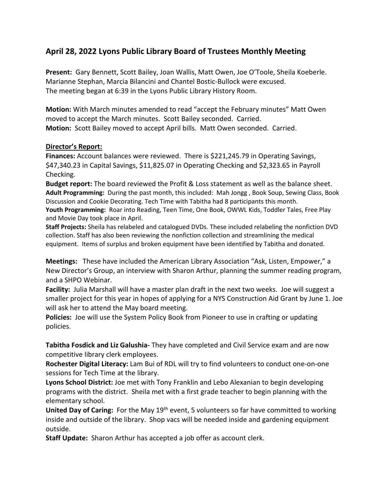## **April 28, 2022 Lyons Public Library Board of Trustees Monthly Meeting**

**Present:** Gary Bennett, Scott Bailey, Joan Wallis, Matt Owen, Joe O'Toole, Sheila Koeberle. Marianne Stephan, Marcia Bilancini and Chantel Bostic-Bullock were excused. The meeting began at 6:39 in the Lyons Public Library History Room.

**Motion:** With March minutes amended to read "accept the February minutes" Matt Owen moved to accept the March minutes. Scott Bailey seconded. Carried. **Motion:** Scott Bailey moved to accept April bills. Matt Owen seconded. Carried.

## **Director's Report:**

**Finances:** Account balances were reviewed. There is \$221,245.79 in Operating Savings, \$47,340.23 in Capital Savings, \$11,825.07 in Operating Checking and \$2,323.65 in Payroll Checking.

**Budget report:** The board reviewed the Profit & Loss statement as well as the balance sheet. **Adult Programming:** During the past month, this included: Mah Jongg , Book Soup, Sewing Class, Book Discussion and Cookie Decorating. Tech Time with Tabitha had 8 participants this month.

**Youth Programming:** Roar into Reading, Teen Time, One Book, OWWL Kids, Toddler Tales, Free Play and Movie Day took place in April.

**Staff Projects:** Sheila has relabeled and catalogued DVDs. These included relabeling the nonfiction DVD collection. Staff has also been reviewing the nonfiction collection and streamlining the medical equipment. Items of surplus and broken equipment have been identified by Tabitha and donated.

**Meetings:** These have included the American Library Association "Ask, Listen, Empower," a New Director's Group, an interview with Sharon Arthur, planning the summer reading program, and a SHPO Webinar.

**Facility:** Julia Marshall will have a master plan draft in the next two weeks. Joe will suggest a smaller project for this year in hopes of applying for a NYS Construction Aid Grant by June 1. Joe will ask her to attend the May board meeting.

**Policies:** Joe will use the System Policy Book from Pioneer to use in crafting or updating policies.

**Tabitha Fosdick and Liz Galushia-** They have completed and Civil Service exam and are now competitive library clerk employees.

**Rochester Digital Literacy:** Lam Bui of RDL will try to find volunteers to conduct one-on-one sessions for Tech Time at the library.

**Lyons School District:** Joe met with Tony Franklin and Lebo Alexanian to begin developing programs with the district. Sheila met with a first grade teacher to begin planning with the elementary school.

**United Day of Caring:** For the May 19<sup>th</sup> event, 5 volunteers so far have committed to working inside and outside of the library. Shop vacs will be needed inside and gardening equipment outside.

**Staff Update:** Sharon Arthur has accepted a job offer as account clerk.